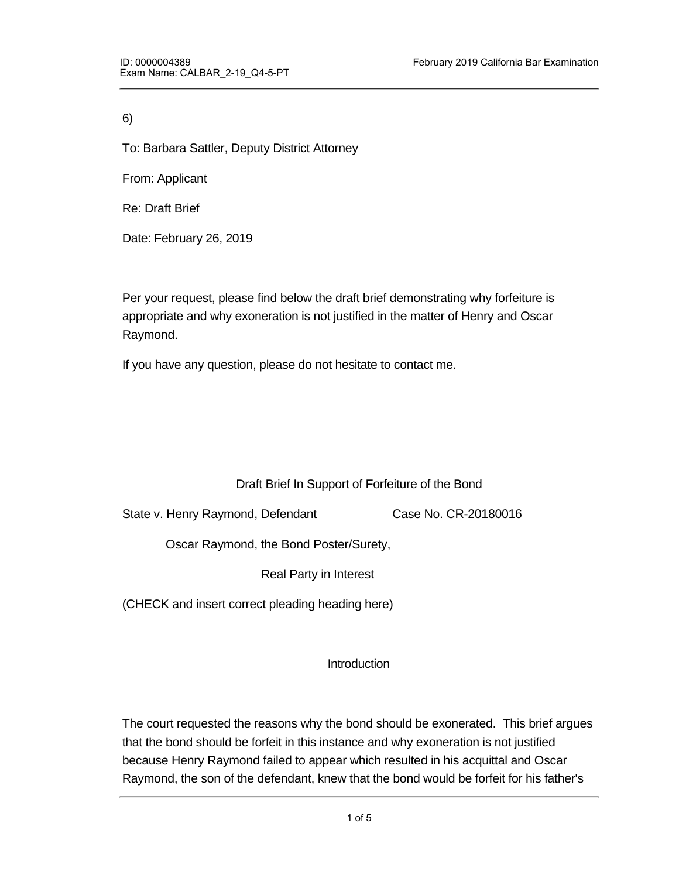6)

To: Barbara Sattler, Deputy District Attorney

From: Applicant

Re: Draft Brief

Date: February 26, 2019

Per your request, please find below the draft brief demonstrating why forfeiture is appropriate and why exoneration is not justified in the matter of Henry and Oscar Raymond.

If you have any question, please do not hesitate to contact me.

### Draft Brief In Support of Forfeiture of the Bond

State v. Henry Raymond, Defendant Case No. CR-20180016

Oscar Raymond, the Bond Poster/Surety,

Real Party in Interest

(CHECK and insert correct pleading heading here)

failure to appear and therefore should not be expected.

**Introduction** 

The court requested the reasons why the bond should be exonerated. This brief argues that the bond should be forfeit in this instance and why exoneration is not justified because Henry Raymond failed to appear which resulted in his acquittal and Oscar Raymond, the son of the defendant, knew that the bond would be forfeit for his father's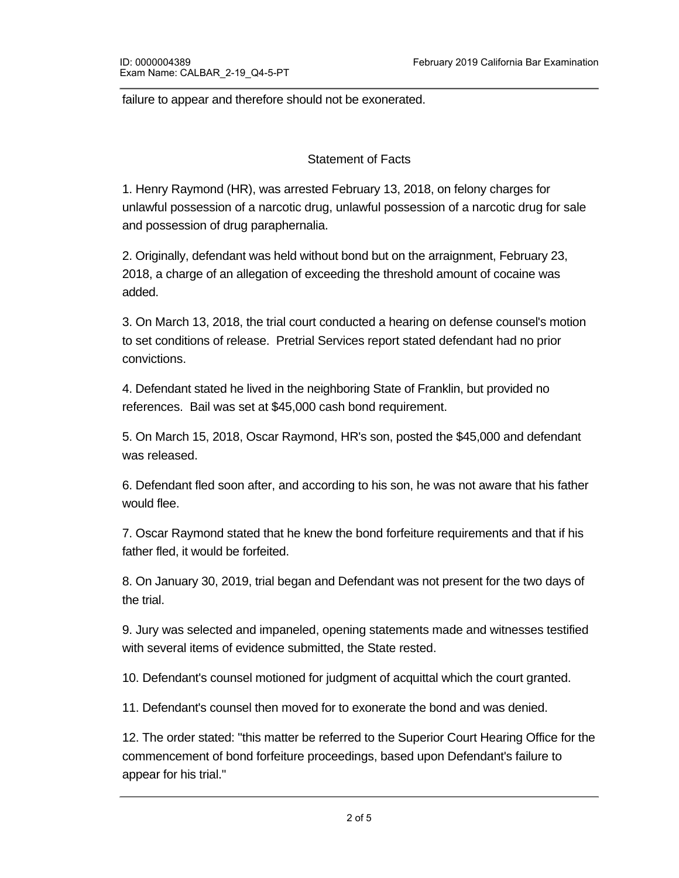failure to appear and therefore should not be exonerated.

#### Statement of Facts

1. Henry Raymond (HR), was arrested February 13, 2018, on felony charges for unlawful possession of a narcotic drug, unlawful possession of a narcotic drug for sale and possession of drug paraphernalia.

2. Originally, defendant was held without bond but on the arraignment, February 23, 2018, a charge of an allegation of exceeding the threshold amount of cocaine was added.

3. On March 13, 2018, the trial court conducted a hearing on defense counsel's motion to set conditions of release. Pretrial Services report stated defendant had no prior convictions.

4. Defendant stated he lived in the neighboring State of Franklin, but provided no references. Bail was set at \$45,000 cash bond requirement.

5. On March 15, 2018, Oscar Raymond, HR's son, posted the \$45,000 and defendant was released.

6. Defendant fled soon after, and according to his son, he was not aware that his father would flee.

7. Oscar Raymond stated that he knew the bond forfeiture requirements and that if his father fled, it would be forfeited.

8. On January 30, 2019, trial began and Defendant was not present for the two days of the trial.

9. Jury was selected and impaneled, opening statements made and witnesses testified with several items of evidence submitted, the State rested.

10. Defendant's counsel motioned for judgment of acquittal which the court granted.

11. Defendant's counsel then moved for to exonerate the bond and was denied.

12. The order stated: "this matter be referred to the Superior Court Hearing Office for the commencement of bond forfeiture proceedings, based upon Defendant's failure to appear for his trial."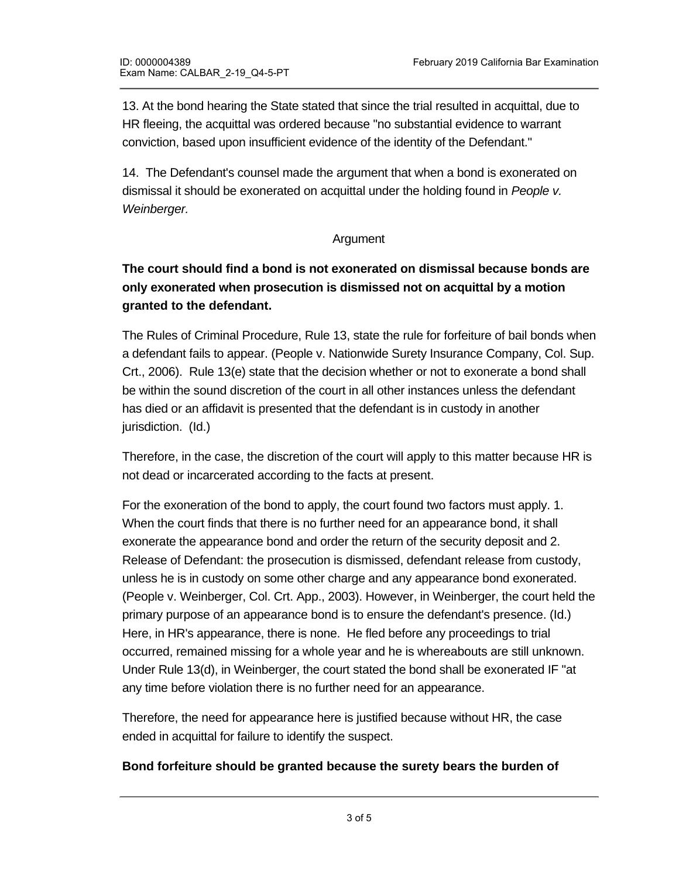13. At the bond hearing the State stated that since the trial resulted in acquittal, due to HR fleeing, the acquittal was ordered because "no substantial evidence to warrant conviction, based upon insufficient evidence of the identity of the Defendant."

14. The Defendant's counsel made the argument that when a bond is exonerated on dismissal it should be exonerated on acquittal under the holding found in *People v. Weinberger.* 

### Argument

# **The court should find a bond is not exonerated on dismissal because bonds are only exonerated when prosecution is dismissed not on acquittal by a motion granted to the defendant.**

The Rules of Criminal Procedure, Rule 13, state the rule for forfeiture of bail bonds when a defendant fails to appear. (People v. Nationwide Surety Insurance Company, Col. Sup. Crt., 2006). Rule 13(e) state that the decision whether or not to exonerate a bond shall be within the sound discretion of the court in all other instances unless the defendant has died or an affidavit is presented that the defendant is in custody in another jurisdiction. (Id.)

Therefore, in the case, the discretion of the court will apply to this matter because HR is not dead or incarcerated according to the facts at present.

For the exoneration of the bond to apply, the court found two factors must apply. 1. When the court finds that there is no further need for an appearance bond, it shall exonerate the appearance bond and order the return of the security deposit and 2. Release of Defendant: the prosecution is dismissed, defendant release from custody, unless he is in custody on some other charge and any appearance bond exonerated. (People v. Weinberger, Col. Crt. App., 2003). However, in Weinberger, the court held the primary purpose of an appearance bond is to ensure the defendant's presence. (Id.) Here, in HR's appearance, there is none. He fled before any proceedings to trial occurred, remained missing for a whole year and he is whereabouts are still unknown. Under Rule 13(d), in Weinberger, the court stated the bond shall be exonerated IF "at any time before violation there is no further need for an appearance.

Therefore, the need for appearance here is justified because without HR, the case ended in acquittal for failure to identify the suspect.

### **Bond forfeiture should be granted because the surety bears the burden of**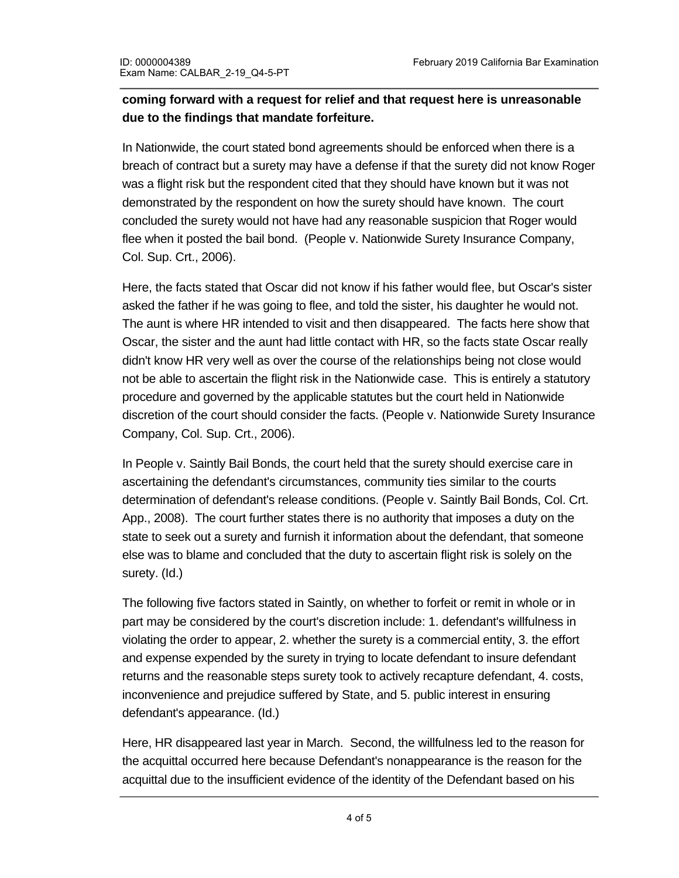## **coming forward with a request for relief and that request here is unreasonable due to the findings that mandate forfeiture.**

In Nationwide, the court stated bond agreements should be enforced when there is a breach of contract but a surety may have a defense if that the surety did not know Roger was a flight risk but the respondent cited that they should have known but it was not demonstrated by the respondent on how the surety should have known. The court concluded the surety would not have had any reasonable suspicion that Roger would flee when it posted the bail bond. (People v. Nationwide Surety Insurance Company, Col. Sup. Crt., 2006).

Here, the facts stated that Oscar did not know if his father would flee, but Oscar's sister asked the father if he was going to flee, and told the sister, his daughter he would not. The aunt is where HR intended to visit and then disappeared. The facts here show that Oscar, the sister and the aunt had little contact with HR, so the facts state Oscar really didn't know HR very well as over the course of the relationships being not close would not be able to ascertain the flight risk in the Nationwide case. This is entirely a statutory procedure and governed by the applicable statutes but the court held in Nationwide discretion of the court should consider the facts. (People v. Nationwide Surety Insurance Company, Col. Sup. Crt., 2006).

In People v. Saintly Bail Bonds, the court held that the surety should exercise care in ascertaining the defendant's circumstances, community ties similar to the courts determination of defendant's release conditions. (People v. Saintly Bail Bonds, Col. Crt. App., 2008). The court further states there is no authority that imposes a duty on the state to seek out a surety and furnish it information about the defendant, that someone else was to blame and concluded that the duty to ascertain flight risk is solely on the surety. (Id.)

The following five factors stated in Saintly, on whether to forfeit or remit in whole or in part may be considered by the court's discretion include: 1. defendant's willfulness in violating the order to appear, 2. whether the surety is a commercial entity, 3. the effort and expense expended by the surety in trying to locate defendant to insure defendant returns and the reasonable steps surety took to actively recapture defendant, 4. costs, inconvenience and prejudice suffered by State, and 5. public interest in ensuring defendant's appearance. (Id.)

Here, HR disappeared last year in March. Second, the willfulness led to the reason for the acquittal occurred here because Defendant's nonappearance is the reason for the acquittal due to the insufficient evidence of the identity of the Defendant based on his

nonappearance. Defendant's counsel did not give any evidence of trying to find